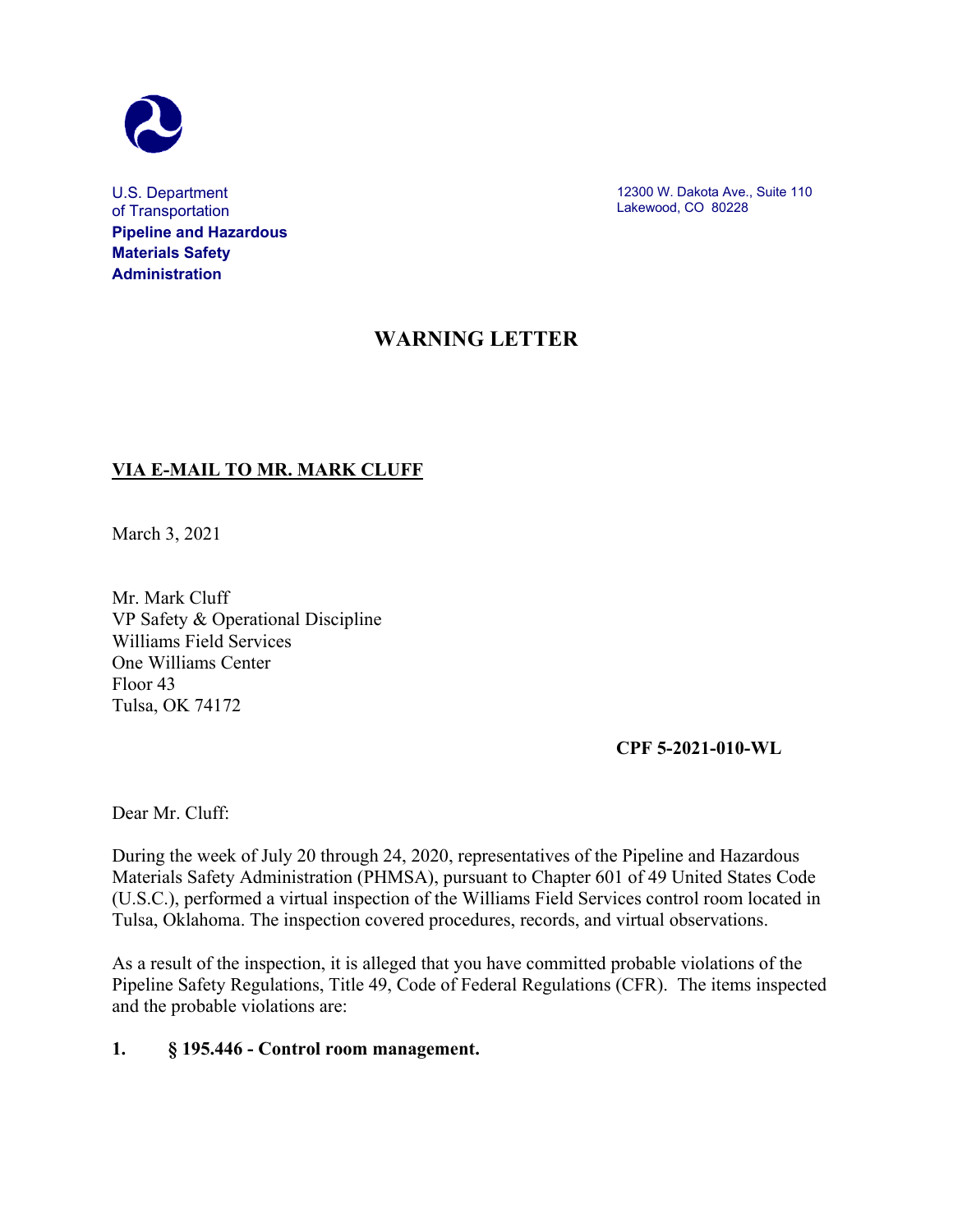

U.S. Department of Transportation **Pipeline and Hazardous Materials Safety Administration**

12300 W. Dakota Ave., Suite 110 Lakewood, CO 80228

# **WARNING LETTER**

## **VIA E-MAIL TO MR. MARK CLUFF**

March 3, 2021

Mr. Mark Cluff VP Safety & Operational Discipline Williams Field Services One Williams Center Floor 43 Tulsa, OK 74172

**CPF 5-2021-010-WL**

Dear Mr. Cluff:

During the week of July 20 through 24, 2020, representatives of the Pipeline and Hazardous Materials Safety Administration (PHMSA), pursuant to Chapter 601 of 49 United States Code (U.S.C.), performed a virtual inspection of the Williams Field Services control room located in Tulsa, Oklahoma. The inspection covered procedures, records, and virtual observations.

As a result of the inspection, it is alleged that you have committed probable violations of the Pipeline Safety Regulations, Title 49, Code of Federal Regulations (CFR). The items inspected and the probable violations are:

#### **1. § 195.446 - Control room management.**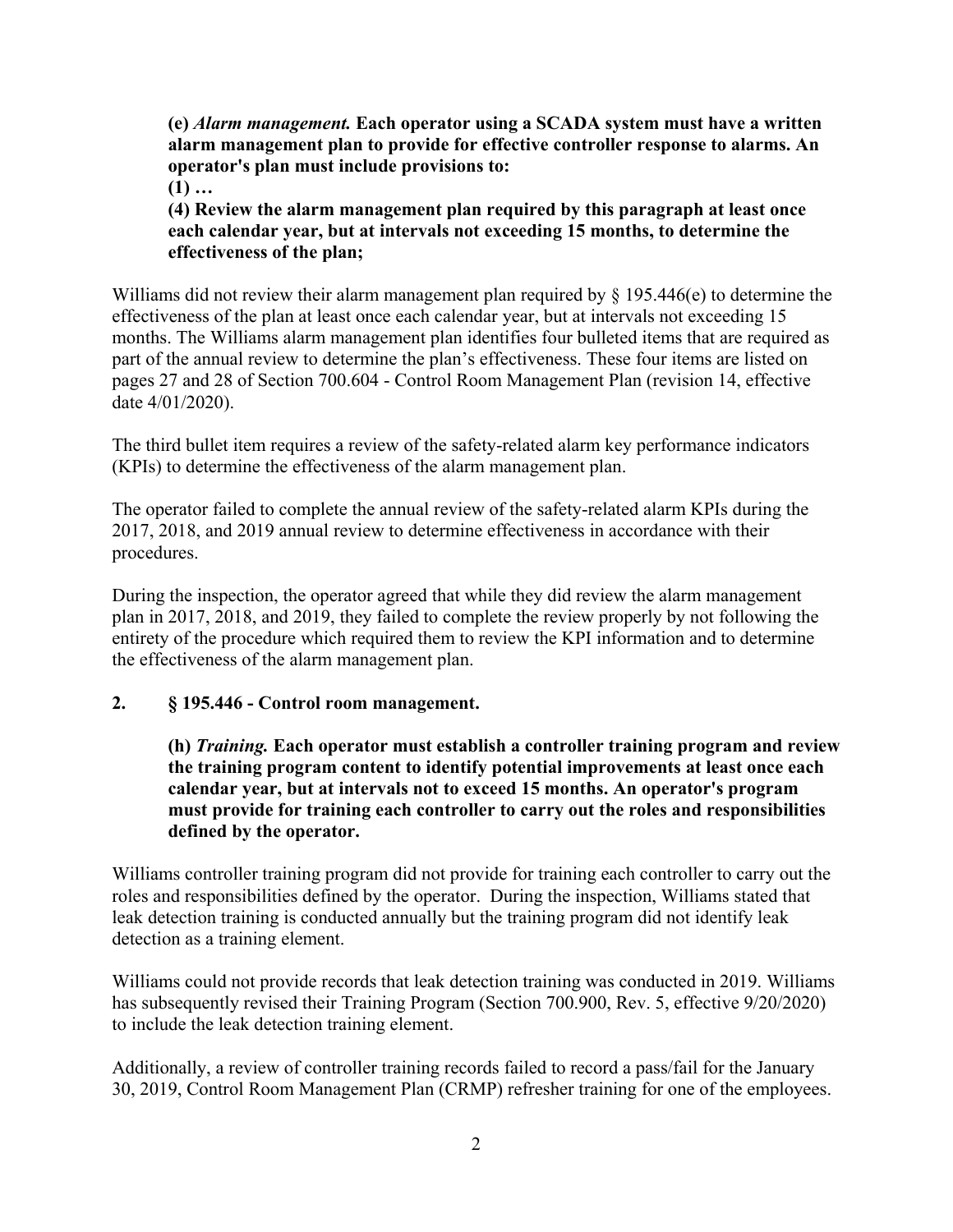**(e)** *Alarm management.* **Each operator using a SCADA system must have a written alarm management plan to provide for effective controller response to alarms. An operator's plan must include provisions to:**

**(1) …**

**(4) Review the alarm management plan required by this paragraph at least once each calendar year, but at intervals not exceeding 15 months, to determine the effectiveness of the plan;**

Williams did not review their alarm management plan required by  $\S$  195.446(e) to determine the effectiveness of the plan at least once each calendar year, but at intervals not exceeding 15 months. The Williams alarm management plan identifies four bulleted items that are required as part of the annual review to determine the plan's effectiveness. These four items are listed on pages 27 and 28 of Section 700.604 - Control Room Management Plan (revision 14, effective date 4/01/2020).

The third bullet item requires a review of the safety-related alarm key performance indicators (KPIs) to determine the effectiveness of the alarm management plan.

The operator failed to complete the annual review of the safety-related alarm KPIs during the 2017, 2018, and 2019 annual review to determine effectiveness in accordance with their procedures.

During the inspection, the operator agreed that while they did review the alarm management plan in 2017, 2018, and 2019, they failed to complete the review properly by not following the entirety of the procedure which required them to review the KPI information and to determine the effectiveness of the alarm management plan.

### **2. § 195.446 - Control room management.**

**(h)** *Training.* **Each operator must establish a controller training program and review the training program content to identify potential improvements at least once each calendar year, but at intervals not to exceed 15 months. An operator's program must provide for training each controller to carry out the roles and responsibilities defined by the operator.**

Williams controller training program did not provide for training each controller to carry out the roles and responsibilities defined by the operator. During the inspection, Williams stated that leak detection training is conducted annually but the training program did not identify leak detection as a training element.

Williams could not provide records that leak detection training was conducted in 2019. Williams has subsequently revised their Training Program (Section 700.900, Rev. 5, effective 9/20/2020) to include the leak detection training element.

Additionally, a review of controller training records failed to record a pass/fail for the January 30, 2019, Control Room Management Plan (CRMP) refresher training for one of the employees.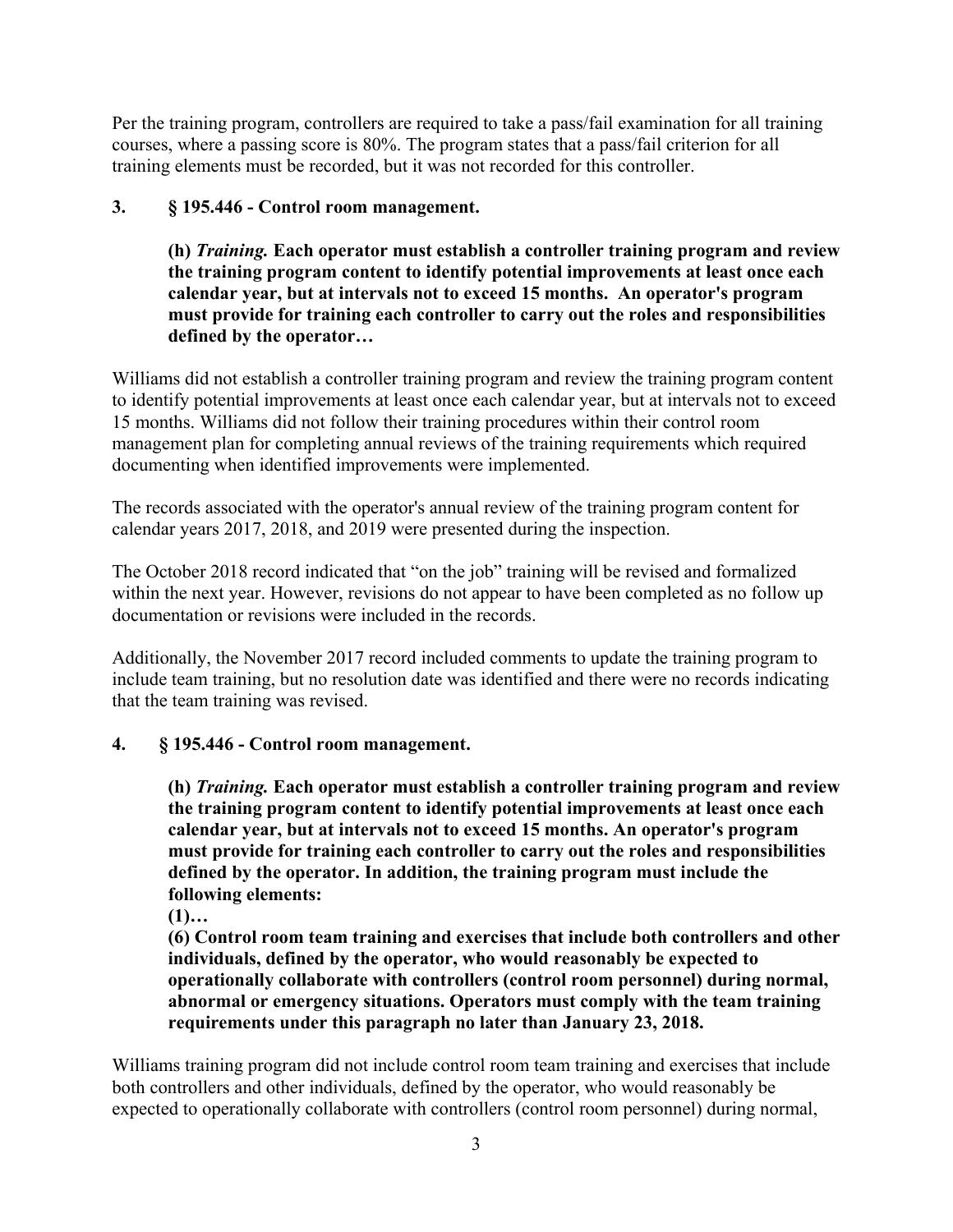Per the training program, controllers are required to take a pass/fail examination for all training courses, where a passing score is 80%. The program states that a pass/fail criterion for all training elements must be recorded, but it was not recorded for this controller.

# **3. § 195.446 - Control room management.**

**(h)** *Training.* **Each operator must establish a controller training program and review the training program content to identify potential improvements at least once each calendar year, but at intervals not to exceed 15 months. An operator's program must provide for training each controller to carry out the roles and responsibilities defined by the operator…**

Williams did not establish a controller training program and review the training program content to identify potential improvements at least once each calendar year, but at intervals not to exceed 15 months. Williams did not follow their training procedures within their control room management plan for completing annual reviews of the training requirements which required documenting when identified improvements were implemented.

The records associated with the operator's annual review of the training program content for calendar years 2017, 2018, and 2019 were presented during the inspection.

The October 2018 record indicated that "on the job" training will be revised and formalized within the next year. However, revisions do not appear to have been completed as no follow up documentation or revisions were included in the records.

Additionally, the November 2017 record included comments to update the training program to include team training, but no resolution date was identified and there were no records indicating that the team training was revised.

### **4. § 195.446 - Control room management.**

**(h)** *Training.* **Each operator must establish a controller training program and review the training program content to identify potential improvements at least once each calendar year, but at intervals not to exceed 15 months. An operator's program must provide for training each controller to carry out the roles and responsibilities defined by the operator. In addition, the training program must include the following elements:**

**(1)…**

**(6) Control room team training and exercises that include both controllers and other individuals, defined by the operator, who would reasonably be expected to operationally collaborate with controllers (control room personnel) during normal, abnormal or emergency situations. Operators must comply with the team training requirements under this paragraph no later than January 23, 2018.**

Williams training program did not include control room team training and exercises that include both controllers and other individuals, defined by the operator, who would reasonably be expected to operationally collaborate with controllers (control room personnel) during normal,